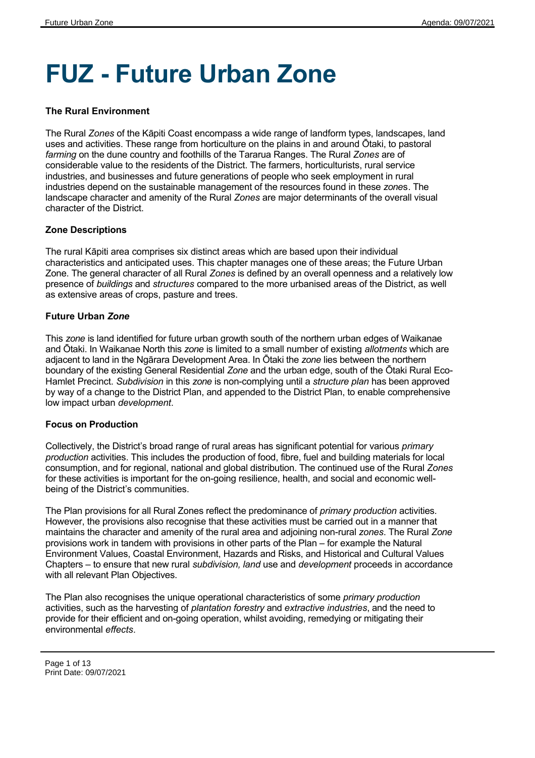# **FUZ - Future Urban Zone**

## **The Rural Environment**

The Rural *Zones* of the Kāpiti Coast encompass a wide range of landform types, landscapes, land uses and activities. These range from horticulture on the plains in and around Ōtaki, to pastoral *farming* on the dune country and foothills of the Tararua Ranges. The Rural *Zones* are of considerable value to the residents of the District. The farmers, horticulturists, rural service industries, and businesses and future generations of people who seek employment in rural industries depend on the sustainable management of the resources found in these *zone*s. The landscape character and amenity of the Rural *Zones* are major determinants of the overall visual character of the District.

## **Zone Descriptions**

The rural Kāpiti area comprises six distinct areas which are based upon their individual characteristics and anticipated uses. This chapter manages one of these areas; the Future Urban Zone. The general character of all Rural *Zones* is defined by an overall openness and a relatively low presence of *buildings* and *structures* compared to the more urbanised areas of the District, as well as extensive areas of crops, pasture and trees.

## **Future Urban** *Zone*

This *zone* is land identified for future urban growth south of the northern urban edges of Waikanae and Ōtaki. In Waikanae North this *zone* is limited to a small number of existing *allotments* which are adjacent to land in the Ngārara Development Area. In Ōtaki the *zone* lies between the northern boundary of the existing General Residential *Zone* and the urban edge, south of the Ōtaki Rural Eco-Hamlet Precinct. *Subdivision* in this *zone* is non-complying until a *structure plan* has been approved by way of a change to the District Plan, and appended to the District Plan, to enable comprehensive low impact urban *development*.

## **Focus on Production**

Collectively, the District's broad range of rural areas has significant potential for various *primary production* activities. This includes the production of food, fibre, fuel and building materials for local consumption, and for regional, national and global distribution. The continued use of the Rural *Zones* for these activities is important for the on-going resilience, health, and social and economic wellbeing of the District's communities.

The Plan provisions for all Rural Zones reflect the predominance of *primary production* activities*.* However, the provisions also recognise that these activities must be carried out in a manner that maintains the character and amenity of the rural area and adjoining non-rural *zones*. The Rural *Zone* provisions work in tandem with provisions in other parts of the Plan – for example the Natural Environment Values, Coastal Environment, Hazards and Risks, and Historical and Cultural Values Chapters – to ensure that new rural *subdivision, land* use and *development* proceeds in accordance with all relevant Plan Objectives.

The Plan also recognises the unique operational characteristics of some *primary production* activities, such as the harvesting of *plantation forestry* and *extractive industries*, and the need to provide for their efficient and on-going operation, whilst avoiding, remedying or mitigating their environmental *effects*.

Page 1 of 13 Print Date: 09/07/2021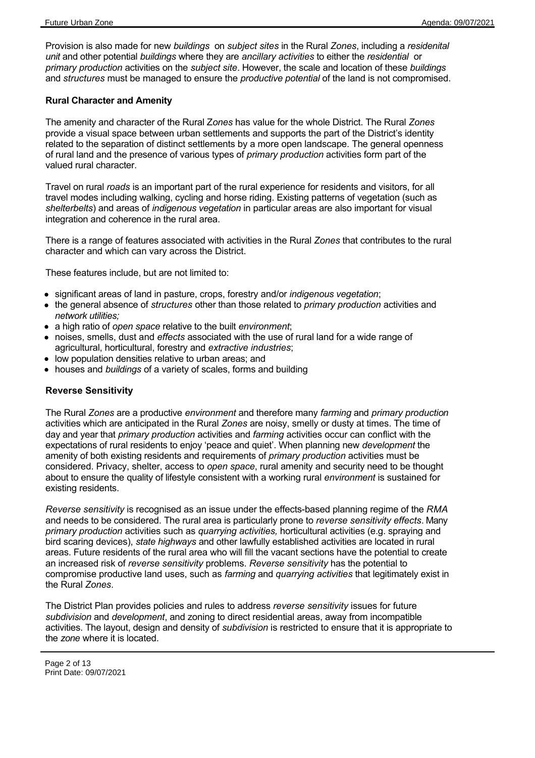Provision is also made for new *buildings*  on *subject sites* in the Rural *Zones*, including a *residenital unit* and other potential *buildings* where they are *ancillary activities* to either the *residential* or *primary production* activities on the *subject site*. However, the scale and location of these *buildings* and *structures* must be managed to ensure the *productive potential* of the land is not compromised.

## **Rural Character and Amenity**

The amenity and character of the Rural Z*ones* has value for the whole District. The Rural *Zones* provide a visual space between urban settlements and supports the part of the District's identity related to the separation of distinct settlements by a more open landscape. The general openness of rural land and the presence of various types of *primary production* activities form part of the valued rural character.

Travel on rural *roads* is an important part of the rural experience for residents and visitors, for all travel modes including walking, cycling and horse riding. Existing patterns of vegetation (such as *shelterbelts*) and areas of *indigenous vegetation* in particular areas are also important for visual integration and coherence in the rural area.

There is a range of features associated with activities in the Rural *Zones* that contributes to the rural character and which can vary across the District.

These features include, but are not limited to:

- significant areas of land in pasture, crops, forestry and/or *indigenous vegetation*;
- the general absence of *structures* other than those related to *primary production* activities and *network utilities;*
- a high ratio of *open space* relative to the built *environment*;
- noises, smells, dust and *effects* associated with the use of rural land for a wide range of agricultural, horticultural, forestry and *extractive industries*;
- low population densities relative to urban areas; and
- houses and *buildings* of a variety of scales, forms and building

## **Reverse Sensitivity**

The Rural *Zones* are a productive *environment* and therefore many *farming* and *primary production* activities which are anticipated in the Rural *Zones* are noisy, smelly or dusty at times. The time of day and year that *primary production* activities and *farming* activities occur can conflict with the expectations of rural residents to enjoy 'peace and quiet'. When planning new *development* the amenity of both existing residents and requirements of *primary production* activities must be considered. Privacy, shelter, access to *open space*, rural amenity and security need to be thought about to ensure the quality of lifestyle consistent with a working rural *environment* is sustained for existing residents.

*Reverse sensitivity* is recognised as an issue under the effects-based planning regime of the *RMA* and needs to be considered. The rural area is particularly prone to *reverse sensitivity effects*. Many *primary production* activities such as *quarrying activities,* horticultural activities (e.g. spraying and bird scaring devices), *state highways* and other lawfully established activities are located in rural areas. Future residents of the rural area who will fill the vacant sections have the potential to create an increased risk of *reverse sensitivity* problems. *Reverse sensitivity* has the potential to compromise productive land uses, such as *farming* and *quarrying activities* that legitimately exist in the Rural *Zones*.

The District Plan provides policies and rules to address *reverse sensitivity* issues for future *subdivision* and *development*, and zoning to direct residential areas, away from incompatible activities. The layout, design and density of *subdivision* is restricted to ensure that it is appropriate to the *zone* where it is located.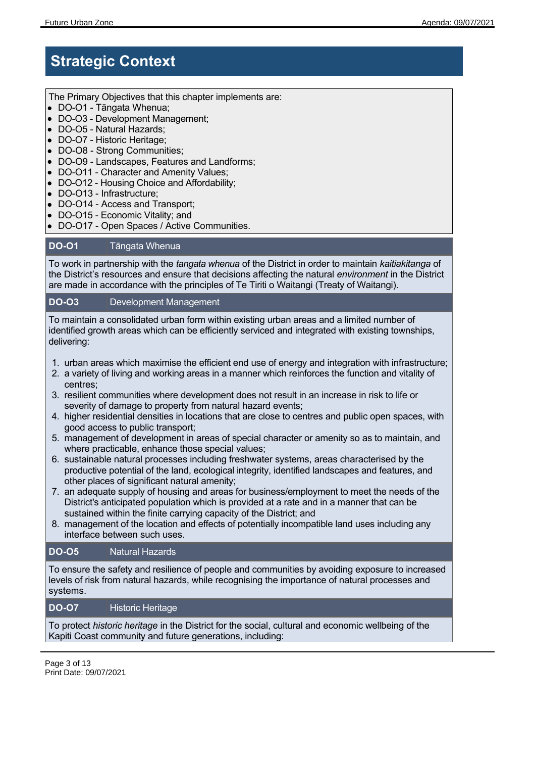## **Strategic Context**

The Primary Objectives that this chapter implements are:

- DO-O1 Tāngata Whenua;
- DO-O3 Development Management:
- DO-O5 Natural Hazards;
- DO-O7 Historic Heritage;
- DO-O8 Strong Communities;
- DO-O9 Landscapes, Features and Landforms;
- DO-O11 Character and Amenity Values;
- DO-O12 Housing Choice and Affordability;
- DO-O13 Infrastructure;
- DO-O14 Access and Transport;
- DO-O15 Economic Vitality; and
- DO-O17 Open Spaces / Active Communities.

## **DO-O1** Tāngata Whenua

To work in partnership with the *tangata whenua* of the District in order to maintain *kaitiakitanga* of the District's resources and ensure that decisions affecting the natural *environment* in the District are made in accordance with the principles of Te Tiriti o Waitangi (Treaty of Waitangi).

## **DO-O3** Development Management

To maintain a consolidated urban form within existing urban areas and a limited number of identified growth areas which can be efficiently serviced and integrated with existing townships, delivering:

- 1. urban areas which maximise the efficient end use of energy and integration with infrastructure;
- 2. a variety of living and working areas in a manner which reinforces the function and vitality of centres;
- 3. resilient communities where development does not result in an increase in risk to life or severity of damage to property from natural hazard events;
- 4. higher residential densities in locations that are close to centres and public open spaces, with good access to public transport;
- 5. management of development in areas of special character or amenity so as to maintain, and where practicable, enhance those special values;
- 6. sustainable natural processes including freshwater systems, areas characterised by the productive potential of the land, ecological integrity, identified landscapes and features, and other places of significant natural amenity;
- 7. an adequate supply of housing and areas for business/employment to meet the needs of the District's anticipated population which is provided at a rate and in a manner that can be sustained within the finite carrying capacity of the District; and
- 8. management of the location and effects of potentially incompatible land uses including any interface between such uses.

## **DO-O5** Natural Hazards

To ensure the safety and resilience of people and communities by avoiding exposure to increased levels of risk from natural hazards, while recognising the importance of natural processes and systems.

## **DO-O7** Historic Heritage

To protect *historic heritage* in the District for the social, cultural and economic wellbeing of the Kapiti Coast community and future generations, including: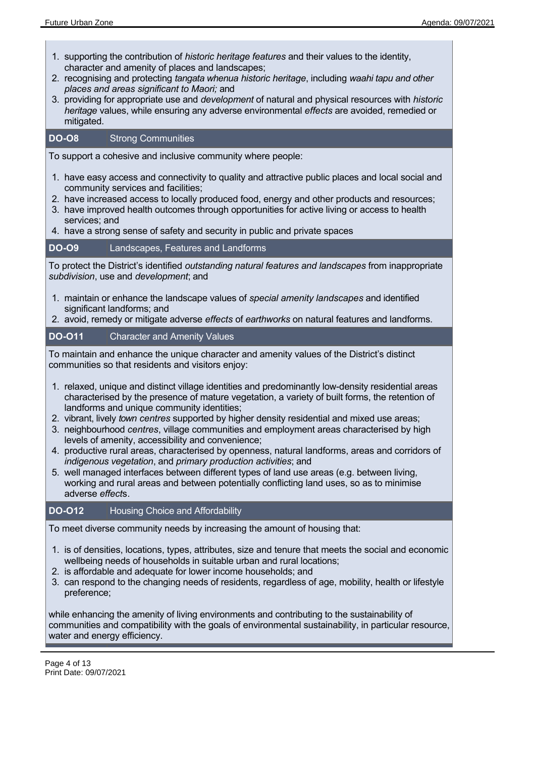- 1. supporting the contribution of *historic heritage features* and their values to the identity, character and amenity of places and landscapes;
- 2. recognising and protecting *tangata whenua historic heritage*, including *waahi tapu and other places and areas significant to Maori;* and
- 3. providing for appropriate use and *development* of natural and physical resources with *historic heritage* values, while ensuring any adverse environmental *effects* are avoided, remedied or mitigated.

## **DO-O8** Strong Communities

To support a cohesive and inclusive community where people:

- 1. have easy access and connectivity to quality and attractive public places and local social and community services and facilities;
- 2. have increased access to locally produced food, energy and other products and resources;
- 3. have improved health outcomes through opportunities for active living or access to health services; and
- 4. have a strong sense of safety and security in public and private spaces

#### **DO-O9** Landscapes, Features and Landforms

To protect the District's identified *outstanding natural features and landscapes* from inappropriate *subdivision*, use and *development*; and

- 1. maintain or enhance the landscape values of *special amenity landscapes* and identified significant landforms; and
- 2. avoid, remedy or mitigate adverse *effects* of *earthworks* on natural features and landforms.

## **DO-O11** Character and Amenity Values

To maintain and enhance the unique character and amenity values of the District's distinct communities so that residents and visitors enjoy:

- 1. relaxed, unique and distinct village identities and predominantly low-density residential areas characterised by the presence of mature vegetation, a variety of built forms, the retention of landforms and unique community identities;
- 2. vibrant, lively *town centres* supported by higher density residential and mixed use areas;
- 3. neighbourhood *centres*, village communities and employment areas characterised by high levels of amenity, accessibility and convenience;
- 4. productive rural areas, characterised by openness, natural landforms, areas and corridors of *indigenous vegetation*, and *primary production activities*; and
- 5. well managed interfaces between different types of land use areas (e.g. between living, working and rural areas and between potentially conflicting land uses, so as to minimise adverse *effect*s.

## **DO-O12** Housing Choice and Affordability

To meet diverse community needs by increasing the amount of housing that:

- 1. is of densities, locations, types, attributes, size and tenure that meets the social and economic wellbeing needs of households in suitable urban and rural locations;
- 2. is affordable and adequate for lower income households; and
- 3. can respond to the changing needs of residents, regardless of age, mobility, health or lifestyle preference;

while enhancing the amenity of living environments and contributing to the sustainability of communities and compatibility with the goals of environmental sustainability, in particular resource, water and energy efficiency.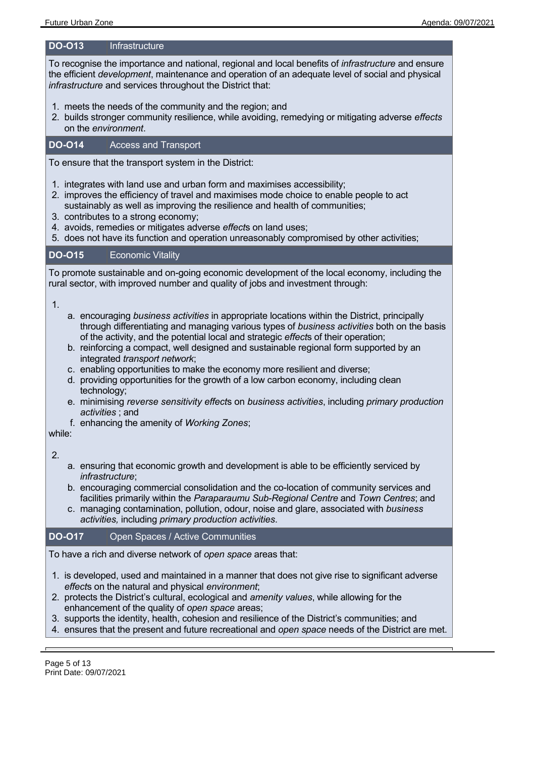#### **DO-O13** Infrastructure

To recognise the importance and national, regional and local benefits of *infrastructure* and ensure the efficient *development*, maintenance and operation of an adequate level of social and physical *infrastructure* and services throughout the District that:

- 1. meets the needs of the community and the region; and
- 2. builds stronger community resilience, while avoiding, remedying or mitigating adverse *effects* on the *environment*.

## **DO-O14** Access and Transport

To ensure that the transport system in the District:

- 1. integrates with land use and urban form and maximises accessibility;
- 2. improves the efficiency of travel and maximises mode choice to enable people to act
- sustainably as well as improving the resilience and health of communities;
- 3. contributes to a strong economy;
- 4. avoids, remedies or mitigates adverse *effect*s on land uses;
- 5. does not have its function and operation unreasonably compromised by other activities;

## **DO-O15** Economic Vitality

To promote sustainable and on-going economic development of the local economy, including the rural sector, with improved number and quality of jobs and investment through:

#### 1.

- a. encouraging *business activities* in appropriate locations within the District, principally through differentiating and managing various types of *business activities* both on the basis of the activity, and the potential local and strategic *effect*s of their operation;
- b. reinforcing a compact, well designed and sustainable regional form supported by an integrated *transport network*;
- c. enabling opportunities to make the economy more resilient and diverse;
- d. providing opportunities for the growth of a low carbon economy, including clean technology;
- e. minimising *reverse sensitivity effect*s on *business activities*, including *primary production activities* ; and
- f. enhancing the amenity of *Working Zones*;

while:

2.

- a. ensuring that economic growth and development is able to be efficiently serviced by *infrastructure*;
- b. encouraging commercial consolidation and the co-location of community services and facilities primarily within the *Paraparaumu Sub-Regional Centre* and *Town Centres*; and
- c. managing contamination, pollution, odour, noise and glare, associated with *business activities,* including *primary production activities*.

## **DO-O17** Open Spaces / Active Communities

To have a rich and diverse network of *open space* areas that:

- 1. is developed, used and maintained in a manner that does not give rise to significant adverse *effect*s on the natural and physical *environment*;
- 2. protects the District's cultural, ecological and *amenity values*, while allowing for the enhancement of the quality of *open space* areas;
- 3. supports the identity, health, cohesion and resilience of the District's communities; and
- 4. ensures that the present and future recreational and *open space* needs of the District are met.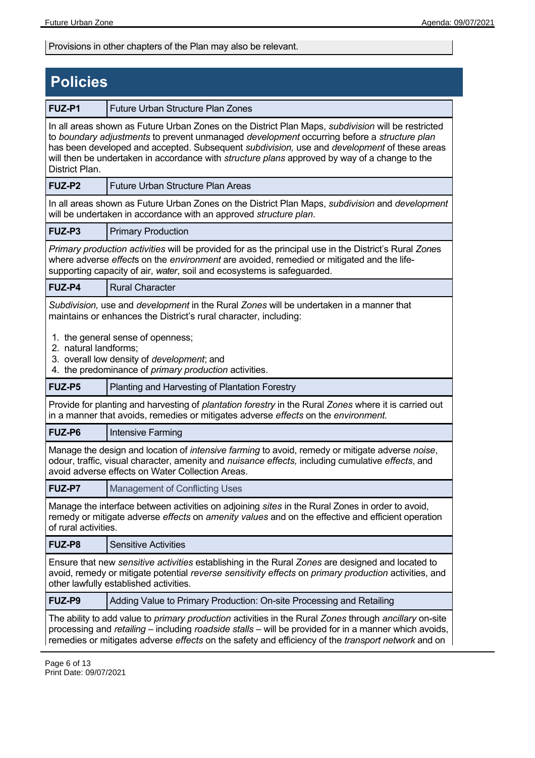Provisions in other chapters of the Plan may also be relevant.

| <b>Policies</b>       |                                                                                                                                                                                                                                                                                                                                                                                                         |
|-----------------------|---------------------------------------------------------------------------------------------------------------------------------------------------------------------------------------------------------------------------------------------------------------------------------------------------------------------------------------------------------------------------------------------------------|
| FUZ-P1                | <b>Future Urban Structure Plan Zones</b>                                                                                                                                                                                                                                                                                                                                                                |
| District Plan.        | In all areas shown as Future Urban Zones on the District Plan Maps, <i>subdivision</i> will be restricted<br>to boundary adjustments to prevent unmanaged development occurring before a structure plan<br>has been developed and accepted. Subsequent subdivision, use and development of these areas<br>will then be undertaken in accordance with structure plans approved by way of a change to the |
| FUZ-P2                | <b>Future Urban Structure Plan Areas</b>                                                                                                                                                                                                                                                                                                                                                                |
|                       | In all areas shown as Future Urban Zones on the District Plan Maps, <i>subdivision</i> and <i>development</i><br>will be undertaken in accordance with an approved structure plan.                                                                                                                                                                                                                      |
| FUZ-P3                | <b>Primary Production</b>                                                                                                                                                                                                                                                                                                                                                                               |
|                       | Primary production activities will be provided for as the principal use in the District's Rural Zones<br>where adverse effects on the environment are avoided, remedied or mitigated and the life-<br>supporting capacity of air, water, soil and ecosystems is safeguarded.                                                                                                                            |
| FUZ-P4                | <b>Rural Character</b>                                                                                                                                                                                                                                                                                                                                                                                  |
|                       | Subdivision, use and development in the Rural Zones will be undertaken in a manner that<br>maintains or enhances the District's rural character, including:<br>1. the general sense of openness;                                                                                                                                                                                                        |
| 2. natural landforms; | 3. overall low density of development; and<br>4. the predominance of <i>primary production</i> activities.                                                                                                                                                                                                                                                                                              |
| FUZ-P5                | Planting and Harvesting of Plantation Forestry                                                                                                                                                                                                                                                                                                                                                          |
|                       | Provide for planting and harvesting of plantation forestry in the Rural Zones where it is carried out<br>in a manner that avoids, remedies or mitigates adverse effects on the environment.                                                                                                                                                                                                             |
| FUZ-P6                | Intensive Farming                                                                                                                                                                                                                                                                                                                                                                                       |
|                       | Manage the design and location of <i>intensive farming</i> to avoid, remedy or mitigate adverse noise,<br>odour, traffic, visual character, amenity and <i>nuisance effects</i> , including cumulative effects, and<br>avoid adverse effects on Water Collection Areas.                                                                                                                                 |
| <b>FUZ-P7</b>         | <b>Management of Conflicting Uses</b>                                                                                                                                                                                                                                                                                                                                                                   |
| of rural activities.  | Manage the interface between activities on adjoining sites in the Rural Zones in order to avoid,<br>remedy or mitigate adverse effects on amenity values and on the effective and efficient operation                                                                                                                                                                                                   |
| FUZ-P8                | <b>Sensitive Activities</b>                                                                                                                                                                                                                                                                                                                                                                             |
|                       | Ensure that new sensitive activities establishing in the Rural Zones are designed and located to<br>avoid, remedy or mitigate potential reverse sensitivity effects on primary production activities, and<br>other lawfully established activities.                                                                                                                                                     |
| FUZ-P9                | Adding Value to Primary Production: On-site Processing and Retailing                                                                                                                                                                                                                                                                                                                                    |
|                       | The ability to add value to <i>primary production</i> activities in the Rural <i>Zones</i> through <i>ancillary</i> on-site<br>processing and retailing – including roadside stalls – will be provided for in a manner which avoids,<br>remedies or mitigates adverse effects on the safety and efficiency of the transport network and on                                                              |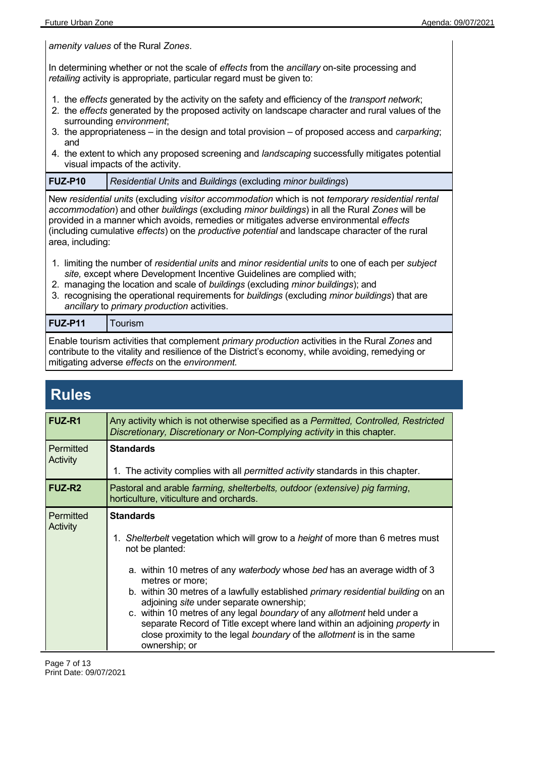*amenity values* of the Rural *Zones*.

In determining whether or not the scale of *effects* from the *ancillary* on-site processing and *retailing* activity is appropriate, particular regard must be given to:

- 1. the *effects* generated by the activity on the safety and efficiency of the *transport network*;
- 2. the *effects* generated by the proposed activity on landscape character and rural values of the surrounding *environment*;
- 3. the appropriateness in the design and total provision of proposed access and *carparking*; and
- 4. the extent to which any proposed screening and *landscaping* successfully mitigates potential visual impacts of the activity.

| FUZ-P10 | Residential Units and Buildings (excluding minor buildings) |
|---------|-------------------------------------------------------------|
|         |                                                             |

New *residential units* (excluding *visitor accommodation* which is not *temporary residential rental accommodation*) and other *buildings* (excluding *minor buildings*) in all the Rural *Zones* will be provided in a manner which avoids, remedies or mitigates adverse environmental *effects* (including cumulative *effects*) on the *productive potential* and landscape character of the rural area, including:

- 1. limiting the number of *residential units* and *minor residential units* to one of each per *subject site,* except where Development Incentive Guidelines are complied with;
- 2. managing the location and scale of *buildings* (excluding *minor buildings*); and
- 3. recognising the operational requirements for *buildings* (excluding *minor buildings*) that are *ancillary* to *primary production* activities.

| <b>FUZ-P11</b> | l Tourism |
|----------------|-----------|
|----------------|-----------|

Enable tourism activities that complement *primary production* activities in the Rural *Zones* and contribute to the vitality and resilience of the District's economy, while avoiding, remedying or mitigating adverse *effects* on the *environment.*

| <b>Rules</b> |  |
|--------------|--|
|              |  |
|              |  |

| <b>FUZ-R1</b>                | Any activity which is not otherwise specified as a Permitted, Controlled, Restricted<br>Discretionary, Discretionary or Non-Complying activity in this chapter.                                                                                                                                                                                                                                                                                                                                                                                                                                                  |
|------------------------------|------------------------------------------------------------------------------------------------------------------------------------------------------------------------------------------------------------------------------------------------------------------------------------------------------------------------------------------------------------------------------------------------------------------------------------------------------------------------------------------------------------------------------------------------------------------------------------------------------------------|
| <b>Permitted</b><br>Activity | <b>Standards</b><br>1. The activity complies with all <i>permitted activity</i> standards in this chapter.                                                                                                                                                                                                                                                                                                                                                                                                                                                                                                       |
| <b>FUZ-R2</b>                | Pastoral and arable farming, shelterbelts, outdoor (extensive) pig farming,<br>horticulture, viticulture and orchards.                                                                                                                                                                                                                                                                                                                                                                                                                                                                                           |
| Permitted<br>Activity        | <b>Standards</b><br>1. Shelterbelt vegetation which will grow to a height of more than 6 metres must<br>not be planted:<br>a. within 10 metres of any waterbody whose bed has an average width of 3<br>metres or more;<br>b. within 30 metres of a lawfully established <i>primary residential building</i> on an<br>adjoining site under separate ownership;<br>c. within 10 metres of any legal boundary of any allotment held under a<br>separate Record of Title except where land within an adjoining property in<br>close proximity to the legal boundary of the allotment is in the same<br>ownership; or |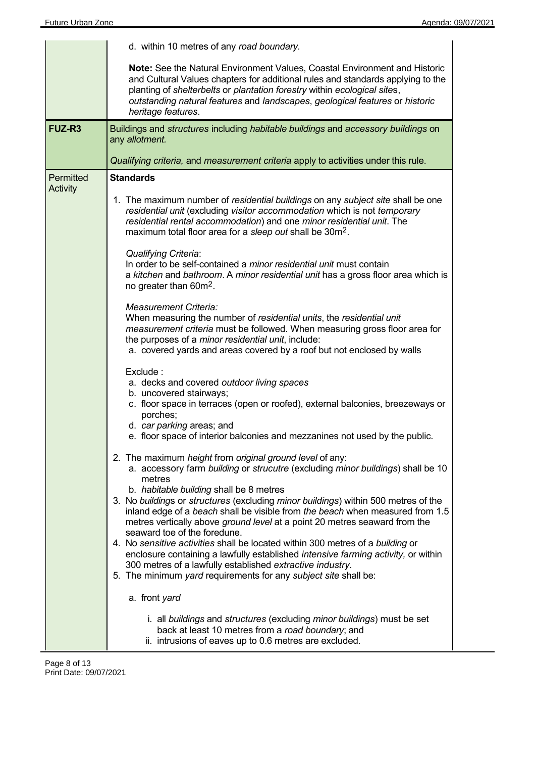|                              | d. within 10 metres of any road boundary.                                                                                                                                                                                                                                                                                                                                                                                                                                                                                                                                                                                                                                                                                                                                                                     |
|------------------------------|---------------------------------------------------------------------------------------------------------------------------------------------------------------------------------------------------------------------------------------------------------------------------------------------------------------------------------------------------------------------------------------------------------------------------------------------------------------------------------------------------------------------------------------------------------------------------------------------------------------------------------------------------------------------------------------------------------------------------------------------------------------------------------------------------------------|
|                              | Note: See the Natural Environment Values, Coastal Environment and Historic<br>and Cultural Values chapters for additional rules and standards applying to the<br>planting of shelterbelts or plantation forestry within ecological sites,<br>outstanding natural features and landscapes, geological features or historic<br>heritage features.                                                                                                                                                                                                                                                                                                                                                                                                                                                               |
| FUZ-R <sub>3</sub>           | Buildings and structures including habitable buildings and accessory buildings on<br>any allotment.                                                                                                                                                                                                                                                                                                                                                                                                                                                                                                                                                                                                                                                                                                           |
|                              | Qualifying criteria, and measurement criteria apply to activities under this rule.                                                                                                                                                                                                                                                                                                                                                                                                                                                                                                                                                                                                                                                                                                                            |
| Permitted<br><b>Activity</b> | <b>Standards</b>                                                                                                                                                                                                                                                                                                                                                                                                                                                                                                                                                                                                                                                                                                                                                                                              |
|                              | 1. The maximum number of residential buildings on any subject site shall be one<br>residential unit (excluding visitor accommodation which is not temporary<br>residential rental accommodation) and one minor residential unit. The<br>maximum total floor area for a sleep out shall be 30m <sup>2</sup> .                                                                                                                                                                                                                                                                                                                                                                                                                                                                                                  |
|                              | <b>Qualifying Criteria:</b><br>In order to be self-contained a <i>minor residential unit</i> must contain<br>a kitchen and bathroom. A minor residential unit has a gross floor area which is<br>no greater than 60m <sup>2</sup> .                                                                                                                                                                                                                                                                                                                                                                                                                                                                                                                                                                           |
|                              | <b>Measurement Criteria:</b><br>When measuring the number of residential units, the residential unit<br>measurement criteria must be followed. When measuring gross floor area for<br>the purposes of a <i>minor residential unit</i> , include:<br>a. covered yards and areas covered by a roof but not enclosed by walls                                                                                                                                                                                                                                                                                                                                                                                                                                                                                    |
|                              | Exclude:<br>a. decks and covered outdoor living spaces<br>b. uncovered stairways;<br>c. floor space in terraces (open or roofed), external balconies, breezeways or<br>porches;<br>d. car parking areas; and<br>e. floor space of interior balconies and mezzanines not used by the public.                                                                                                                                                                                                                                                                                                                                                                                                                                                                                                                   |
|                              | 2. The maximum height from original ground level of any:<br>a. accessory farm building or strucutre (excluding minor buildings) shall be 10<br>metres<br>b. habitable building shall be 8 metres<br>3. No buildings or structures (excluding minor buildings) within 500 metres of the<br>inland edge of a beach shall be visible from the beach when measured from 1.5<br>metres vertically above ground level at a point 20 metres seaward from the<br>seaward toe of the foredune.<br>4. No sensitive activities shall be located within 300 metres of a building or<br>enclosure containing a lawfully established intensive farming activity, or within<br>300 metres of a lawfully established extractive industry.<br>5. The minimum yard requirements for any subject site shall be:<br>a. front yard |
|                              | i. all buildings and structures (excluding minor buildings) must be set<br>back at least 10 metres from a road boundary; and<br>ii. intrusions of eaves up to 0.6 metres are excluded.                                                                                                                                                                                                                                                                                                                                                                                                                                                                                                                                                                                                                        |

 $\overline{a}$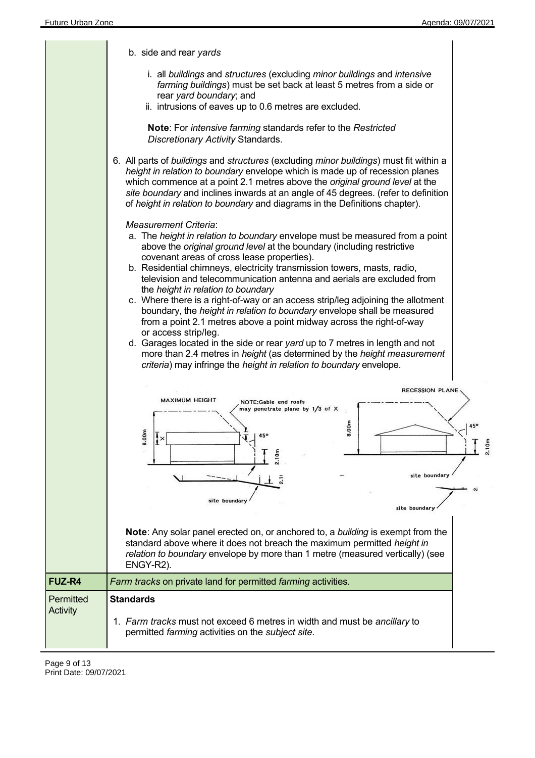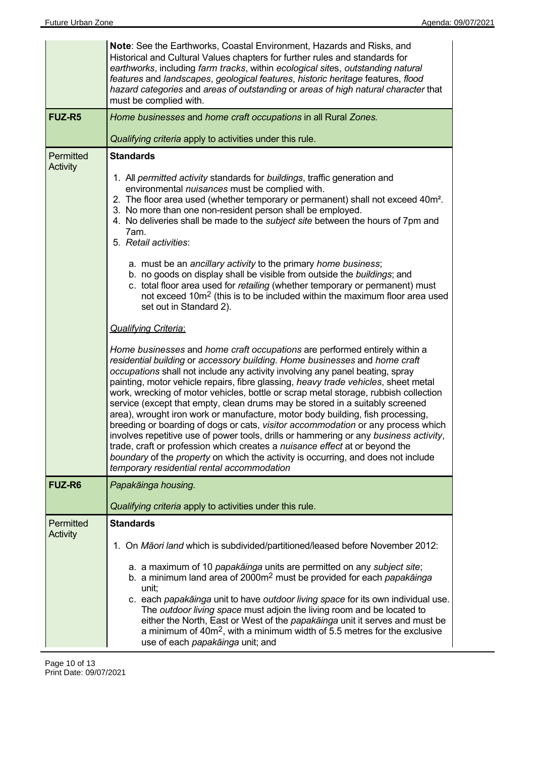|                                                                                                                                                                                                                                                                                                                                                                                                                                                                                                                                                                                                                                                                                                                                                                                                                                                                                                                                                                                                                                                                                                                                                                                                                                                                                                                                                             | Note: See the Earthworks, Coastal Environment, Hazards and Risks, and<br>Historical and Cultural Values chapters for further rules and standards for<br>earthworks, including farm tracks, within ecological sites, outstanding natural<br>features and landscapes, geological features, historic heritage features, flood<br>hazard categories and areas of outstanding or areas of high natural character that<br>must be complied with.                                                                                           |
|-------------------------------------------------------------------------------------------------------------------------------------------------------------------------------------------------------------------------------------------------------------------------------------------------------------------------------------------------------------------------------------------------------------------------------------------------------------------------------------------------------------------------------------------------------------------------------------------------------------------------------------------------------------------------------------------------------------------------------------------------------------------------------------------------------------------------------------------------------------------------------------------------------------------------------------------------------------------------------------------------------------------------------------------------------------------------------------------------------------------------------------------------------------------------------------------------------------------------------------------------------------------------------------------------------------------------------------------------------------|--------------------------------------------------------------------------------------------------------------------------------------------------------------------------------------------------------------------------------------------------------------------------------------------------------------------------------------------------------------------------------------------------------------------------------------------------------------------------------------------------------------------------------------|
| <b>FUZ-R5</b>                                                                                                                                                                                                                                                                                                                                                                                                                                                                                                                                                                                                                                                                                                                                                                                                                                                                                                                                                                                                                                                                                                                                                                                                                                                                                                                                               | Home businesses and home craft occupations in all Rural Zones.                                                                                                                                                                                                                                                                                                                                                                                                                                                                       |
|                                                                                                                                                                                                                                                                                                                                                                                                                                                                                                                                                                                                                                                                                                                                                                                                                                                                                                                                                                                                                                                                                                                                                                                                                                                                                                                                                             | Qualifying criteria apply to activities under this rule.                                                                                                                                                                                                                                                                                                                                                                                                                                                                             |
| Permitted<br><b>Standards</b><br>Activity<br>1. All permitted activity standards for buildings, traffic generation and<br>environmental nuisances must be complied with.<br>2. The floor area used (whether temporary or permanent) shall not exceed 40m <sup>2</sup> .<br>3. No more than one non-resident person shall be employed.<br>4. No deliveries shall be made to the <i>subject site</i> between the hours of 7pm and<br>7am.<br>5. Retail activities:<br>a. must be an ancillary activity to the primary home business;<br>b. no goods on display shall be visible from outside the buildings; and<br>c. total floor area used for retailing (whether temporary or permanent) must<br>not exceed 10m <sup>2</sup> (this is to be included within the maximum floor area used<br>set out in Standard 2).<br><b>Qualifying Criteria:</b><br>Home businesses and home craft occupations are performed entirely within a<br>residential building or accessory building. Home businesses and home craft<br>occupations shall not include any activity involving any panel beating, spray<br>painting, motor vehicle repairs, fibre glassing, heavy trade vehicles, sheet metal<br>work, wrecking of motor vehicles, bottle or scrap metal storage, rubbish collection<br>service (except that empty, clean drums may be stored in a suitably screened |                                                                                                                                                                                                                                                                                                                                                                                                                                                                                                                                      |
|                                                                                                                                                                                                                                                                                                                                                                                                                                                                                                                                                                                                                                                                                                                                                                                                                                                                                                                                                                                                                                                                                                                                                                                                                                                                                                                                                             | area), wrought iron work or manufacture, motor body building, fish processing,<br>breeding or boarding of dogs or cats, visitor accommodation or any process which<br>involves repetitive use of power tools, drills or hammering or any business activity,<br>trade, craft or profession which creates a nuisance effect at or beyond the<br>boundary of the property on which the activity is occurring, and does not include<br>temporary residential rental accommodation                                                        |
| <b>FUZ-R6</b>                                                                                                                                                                                                                                                                                                                                                                                                                                                                                                                                                                                                                                                                                                                                                                                                                                                                                                                                                                                                                                                                                                                                                                                                                                                                                                                                               | Papakāinga housing.                                                                                                                                                                                                                                                                                                                                                                                                                                                                                                                  |
|                                                                                                                                                                                                                                                                                                                                                                                                                                                                                                                                                                                                                                                                                                                                                                                                                                                                                                                                                                                                                                                                                                                                                                                                                                                                                                                                                             | Qualifying criteria apply to activities under this rule.                                                                                                                                                                                                                                                                                                                                                                                                                                                                             |
| Permitted<br>Activity                                                                                                                                                                                                                                                                                                                                                                                                                                                                                                                                                                                                                                                                                                                                                                                                                                                                                                                                                                                                                                                                                                                                                                                                                                                                                                                                       | <b>Standards</b>                                                                                                                                                                                                                                                                                                                                                                                                                                                                                                                     |
|                                                                                                                                                                                                                                                                                                                                                                                                                                                                                                                                                                                                                                                                                                                                                                                                                                                                                                                                                                                                                                                                                                                                                                                                                                                                                                                                                             | 1. On Māori land which is subdivided/partitioned/leased before November 2012:                                                                                                                                                                                                                                                                                                                                                                                                                                                        |
|                                                                                                                                                                                                                                                                                                                                                                                                                                                                                                                                                                                                                                                                                                                                                                                                                                                                                                                                                                                                                                                                                                                                                                                                                                                                                                                                                             | a. a maximum of 10 papakainga units are permitted on any subject site;<br>b. a minimum land area of 2000m <sup>2</sup> must be provided for each papakainga<br>unit;<br>c. each papakāinga unit to have outdoor living space for its own individual use.<br>The outdoor living space must adjoin the living room and be located to<br>either the North, East or West of the papakainga unit it serves and must be<br>a minimum of $40m^2$ , with a minimum width of 5.5 metres for the exclusive<br>use of each papakainga unit; and |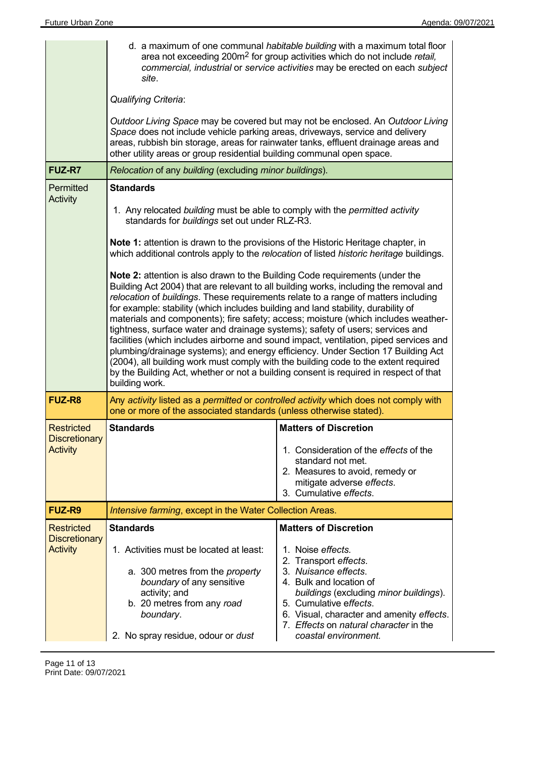|                                                              | site.<br><b>Qualifying Criteria:</b><br>Space does not include vehicle parking areas, driveways, service and delivery<br>areas, rubbish bin storage, areas for rainwater tanks, effluent drainage areas and<br>other utility areas or group residential building communal open space.                                                                                                                                                                                                                                                      | d. a maximum of one communal habitable building with a maximum total floor<br>area not exceeding 200m <sup>2</sup> for group activities which do not include retail,<br>commercial, industrial or service activities may be erected on each subject<br>Outdoor Living Space may be covered but may not be enclosed. An Outdoor Living                   |
|--------------------------------------------------------------|--------------------------------------------------------------------------------------------------------------------------------------------------------------------------------------------------------------------------------------------------------------------------------------------------------------------------------------------------------------------------------------------------------------------------------------------------------------------------------------------------------------------------------------------|---------------------------------------------------------------------------------------------------------------------------------------------------------------------------------------------------------------------------------------------------------------------------------------------------------------------------------------------------------|
| <b>FUZ-R7</b>                                                | Relocation of any building (excluding minor buildings).                                                                                                                                                                                                                                                                                                                                                                                                                                                                                    |                                                                                                                                                                                                                                                                                                                                                         |
| <b>Permitted</b><br>Activity                                 | <b>Standards</b><br>1. Any relocated building must be able to comply with the permitted activity<br>standards for buildings set out under RLZ-R3.                                                                                                                                                                                                                                                                                                                                                                                          |                                                                                                                                                                                                                                                                                                                                                         |
|                                                              | Note 1: attention is drawn to the provisions of the Historic Heritage chapter, in                                                                                                                                                                                                                                                                                                                                                                                                                                                          | which additional controls apply to the relocation of listed historic heritage buildings.                                                                                                                                                                                                                                                                |
|                                                              | Note 2: attention is also drawn to the Building Code requirements (under the<br>relocation of buildings. These requirements relate to a range of matters including<br>for example: stability (which includes building and land stability, durability of<br>tightness, surface water and drainage systems); safety of users; services and<br>(2004), all building work must comply with the building code to the extent required<br>by the Building Act, whether or not a building consent is required in respect of that<br>building work. | Building Act 2004) that are relevant to all building works, including the removal and<br>materials and components); fire safety; access; moisture (which includes weather-<br>facilities (which includes airborne and sound impact, ventilation, piped services and<br>plumbing/drainage systems); and energy efficiency. Under Section 17 Building Act |
| <b>FUZ-R8</b>                                                | Any activity listed as a permitted or controlled activity which does not comply with<br>one or more of the associated standards (unless otherwise stated).                                                                                                                                                                                                                                                                                                                                                                                 |                                                                                                                                                                                                                                                                                                                                                         |
| <b>Restricted</b><br><b>Discretionary</b><br><b>Activity</b> | <b>Standards</b>                                                                                                                                                                                                                                                                                                                                                                                                                                                                                                                           | <b>Matters of Discretion</b><br>1. Consideration of the effects of the<br>standard not met.<br>2. Measures to avoid, remedy or<br>mitigate adverse effects.<br>3. Cumulative effects.                                                                                                                                                                   |
| <b>FUZ-R9</b>                                                | Intensive farming, except in the Water Collection Areas.                                                                                                                                                                                                                                                                                                                                                                                                                                                                                   |                                                                                                                                                                                                                                                                                                                                                         |
| <b>Restricted</b><br><b>Discretionary</b><br><b>Activity</b> | <b>Standards</b><br>1. Activities must be located at least:<br>a. 300 metres from the <i>property</i><br>boundary of any sensitive<br>activity; and<br>b. 20 metres from any road<br>boundary.                                                                                                                                                                                                                                                                                                                                             | <b>Matters of Discretion</b><br>1. Noise <i>effects</i> .<br>2. Transport effects.<br>3. Nuisance effects.<br>4. Bulk and location of<br>buildings (excluding minor buildings).<br>5. Cumulative effects.<br>6. Visual, character and amenity effects.                                                                                                  |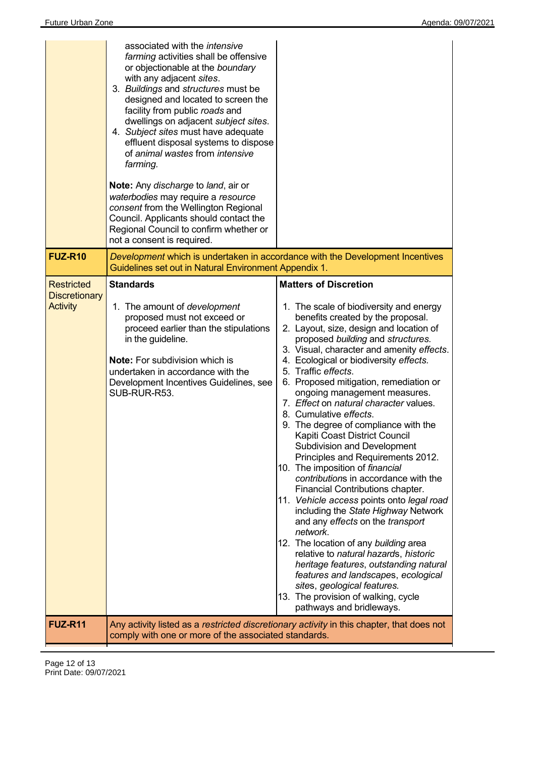|                                                              | associated with the <i>intensive</i><br>farming activities shall be offensive<br>or objectionable at the boundary<br>with any adjacent sites.<br>3. Buildings and structures must be<br>designed and located to screen the<br>facility from public roads and<br>dwellings on adjacent subject sites.<br>4. Subject sites must have adequate<br>effluent disposal systems to dispose<br>of animal wastes from intensive<br>farming.<br><b>Note:</b> Any discharge to land, air or<br>waterbodies may require a resource<br>consent from the Wellington Regional<br>Council. Applicants should contact the<br>Regional Council to confirm whether or<br>not a consent is required. |                                                                                                                                                                                                                                                                                                                                                                                                                                                                                                                                                                                                                                                                                                                                                                                                                                                                                                                                                                                                                                                                                                                               |
|--------------------------------------------------------------|----------------------------------------------------------------------------------------------------------------------------------------------------------------------------------------------------------------------------------------------------------------------------------------------------------------------------------------------------------------------------------------------------------------------------------------------------------------------------------------------------------------------------------------------------------------------------------------------------------------------------------------------------------------------------------|-------------------------------------------------------------------------------------------------------------------------------------------------------------------------------------------------------------------------------------------------------------------------------------------------------------------------------------------------------------------------------------------------------------------------------------------------------------------------------------------------------------------------------------------------------------------------------------------------------------------------------------------------------------------------------------------------------------------------------------------------------------------------------------------------------------------------------------------------------------------------------------------------------------------------------------------------------------------------------------------------------------------------------------------------------------------------------------------------------------------------------|
| <b>FUZ-R10</b>                                               | Guidelines set out in Natural Environment Appendix 1.                                                                                                                                                                                                                                                                                                                                                                                                                                                                                                                                                                                                                            | Development which is undertaken in accordance with the Development Incentives                                                                                                                                                                                                                                                                                                                                                                                                                                                                                                                                                                                                                                                                                                                                                                                                                                                                                                                                                                                                                                                 |
| <b>Restricted</b><br><b>Discretionary</b><br><b>Activity</b> | <b>Standards</b><br>1. The amount of development<br>proposed must not exceed or<br>proceed earlier than the stipulations<br>in the guideline.<br><b>Note:</b> For subdivision which is<br>undertaken in accordance with the<br>Development Incentives Guidelines, see<br>SUB-RUR-R53.                                                                                                                                                                                                                                                                                                                                                                                            | <b>Matters of Discretion</b><br>1. The scale of biodiversity and energy<br>benefits created by the proposal.<br>2. Layout, size, design and location of<br>proposed building and structures.<br>3. Visual, character and amenity effects.<br>4. Ecological or biodiversity effects.<br>5. Traffic effects.<br>6. Proposed mitigation, remediation or<br>ongoing management measures.<br>7. Effect on natural character values.<br>8. Cumulative effects.<br>9. The degree of compliance with the<br>Kapiti Coast District Council<br>Subdivision and Development<br>Principles and Requirements 2012.<br>10. The imposition of financial<br>contributions in accordance with the<br>Financial Contributions chapter.<br>11. Vehicle access points onto legal road<br>including the State Highway Network<br>and any effects on the transport<br>network.<br>12. The location of any building area<br>relative to natural hazards, historic<br>heritage features, outstanding natural<br>features and landscapes, ecological<br>sites, geological features.<br>13. The provision of walking, cycle<br>pathways and bridleways. |
| <b>FUZ-R11</b>                                               | comply with one or more of the associated standards.                                                                                                                                                                                                                                                                                                                                                                                                                                                                                                                                                                                                                             | Any activity listed as a restricted discretionary activity in this chapter, that does not                                                                                                                                                                                                                                                                                                                                                                                                                                                                                                                                                                                                                                                                                                                                                                                                                                                                                                                                                                                                                                     |